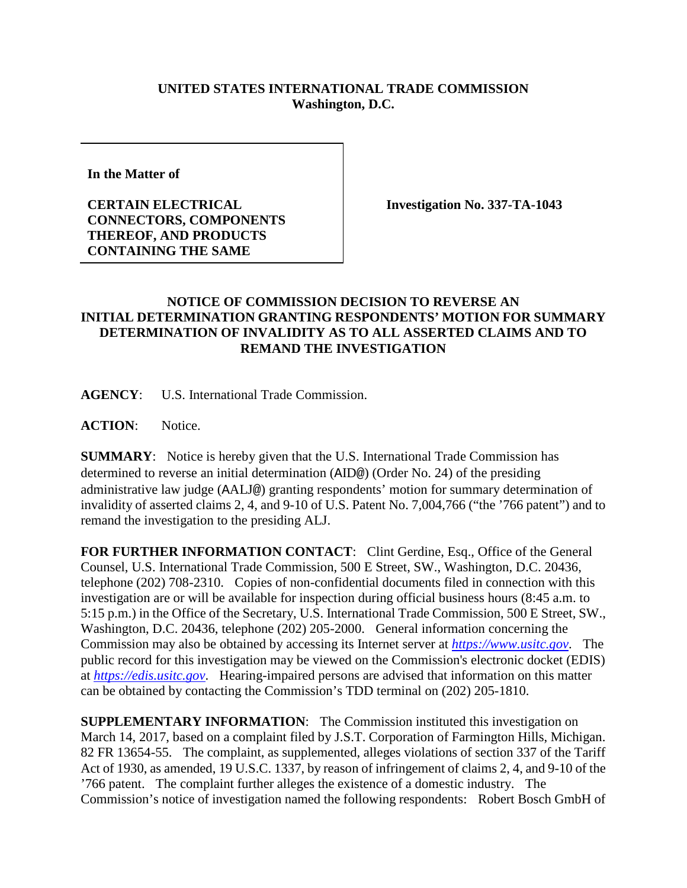## **UNITED STATES INTERNATIONAL TRADE COMMISSION Washington, D.C.**

**In the Matter of** 

**CERTAIN ELECTRICAL CONNECTORS, COMPONENTS THEREOF, AND PRODUCTS CONTAINING THE SAME**

**Investigation No. 337-TA-1043**

## **NOTICE OF COMMISSION DECISION TO REVERSE AN INITIAL DETERMINATION GRANTING RESPONDENTS' MOTION FOR SUMMARY DETERMINATION OF INVALIDITY AS TO ALL ASSERTED CLAIMS AND TO REMAND THE INVESTIGATION**

**AGENCY**: U.S. International Trade Commission.

**ACTION**: Notice.

**SUMMARY**: Notice is hereby given that the U.S. International Trade Commission has determined to reverse an initial determination (AID@) (Order No. 24) of the presiding administrative law judge (AALJ@) granting respondents' motion for summary determination of invalidity of asserted claims 2, 4, and 9-10 of U.S. Patent No. 7,004,766 ("the '766 patent") and to remand the investigation to the presiding ALJ.

FOR FURTHER INFORMATION CONTACT: Clint Gerdine, Esq., Office of the General Counsel, U.S. International Trade Commission, 500 E Street, SW., Washington, D.C. 20436, telephone (202) 708-2310. Copies of non-confidential documents filed in connection with this investigation are or will be available for inspection during official business hours (8:45 a.m. to 5:15 p.m.) in the Office of the Secretary, U.S. International Trade Commission, 500 E Street, SW., Washington, D.C. 20436, telephone (202) 205-2000. General information concerning the Commission may also be obtained by accessing its Internet server at *[https://www.usitc.gov](https://www.usitc.gov/)*. The public record for this investigation may be viewed on the Commission's electronic docket (EDIS) at *[https://edis.usitc.gov](https://edis.usitc.gov/)*. Hearing-impaired persons are advised that information on this matter can be obtained by contacting the Commission's TDD terminal on (202) 205-1810.

**SUPPLEMENTARY INFORMATION:** The Commission instituted this investigation on March 14, 2017, based on a complaint filed by J.S.T. Corporation of Farmington Hills, Michigan. 82 FR 13654-55. The complaint, as supplemented, alleges violations of section 337 of the Tariff Act of 1930, as amended, 19 U.S.C. 1337, by reason of infringement of claims 2, 4, and 9-10 of the '766 patent. The complaint further alleges the existence of a domestic industry. The Commission's notice of investigation named the following respondents: Robert Bosch GmbH of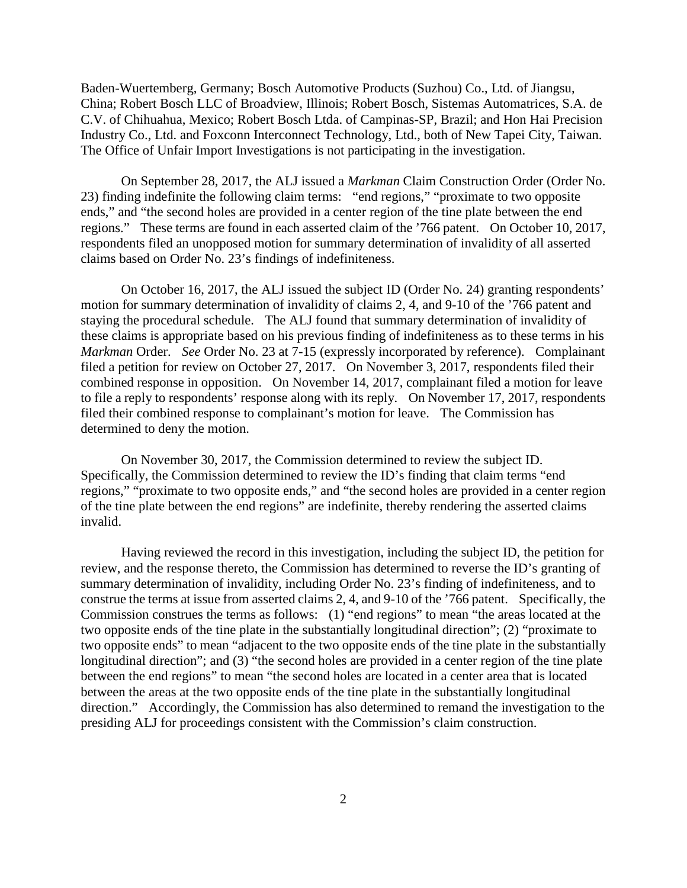Baden-Wuertemberg, Germany; Bosch Automotive Products (Suzhou) Co., Ltd. of Jiangsu, China; Robert Bosch LLC of Broadview, Illinois; Robert Bosch, Sistemas Automatrices, S.A. de C.V. of Chihuahua, Mexico; Robert Bosch Ltda. of Campinas-SP, Brazil; and Hon Hai Precision Industry Co., Ltd. and Foxconn Interconnect Technology, Ltd., both of New Tapei City, Taiwan. The Office of Unfair Import Investigations is not participating in the investigation.

On September 28, 2017, the ALJ issued a *Markman* Claim Construction Order (Order No. 23) finding indefinite the following claim terms: "end regions," "proximate to two opposite ends," and "the second holes are provided in a center region of the tine plate between the end regions." These terms are found in each asserted claim of the '766 patent. On October 10, 2017, respondents filed an unopposed motion for summary determination of invalidity of all asserted claims based on Order No. 23's findings of indefiniteness.

On October 16, 2017, the ALJ issued the subject ID (Order No. 24) granting respondents' motion for summary determination of invalidity of claims 2, 4, and 9-10 of the '766 patent and staying the procedural schedule. The ALJ found that summary determination of invalidity of these claims is appropriate based on his previous finding of indefiniteness as to these terms in his *Markman* Order. *See* Order No. 23 at 7-15 (expressly incorporated by reference). Complainant filed a petition for review on October 27, 2017. On November 3, 2017, respondents filed their combined response in opposition. On November 14, 2017, complainant filed a motion for leave to file a reply to respondents' response along with its reply. On November 17, 2017, respondents filed their combined response to complainant's motion for leave. The Commission has determined to deny the motion.

On November 30, 2017, the Commission determined to review the subject ID. Specifically, the Commission determined to review the ID's finding that claim terms "end regions," "proximate to two opposite ends," and "the second holes are provided in a center region of the tine plate between the end regions" are indefinite, thereby rendering the asserted claims invalid.

Having reviewed the record in this investigation, including the subject ID, the petition for review, and the response thereto, the Commission has determined to reverse the ID's granting of summary determination of invalidity, including Order No. 23's finding of indefiniteness, and to construe the terms at issue from asserted claims 2, 4, and 9-10 of the '766 patent. Specifically, the Commission construes the terms as follows: (1) "end regions" to mean "the areas located at the two opposite ends of the tine plate in the substantially longitudinal direction"; (2) "proximate to two opposite ends" to mean "adjacent to the two opposite ends of the tine plate in the substantially longitudinal direction"; and (3) "the second holes are provided in a center region of the tine plate between the end regions" to mean "the second holes are located in a center area that is located between the areas at the two opposite ends of the tine plate in the substantially longitudinal direction." Accordingly, the Commission has also determined to remand the investigation to the presiding ALJ for proceedings consistent with the Commission's claim construction.